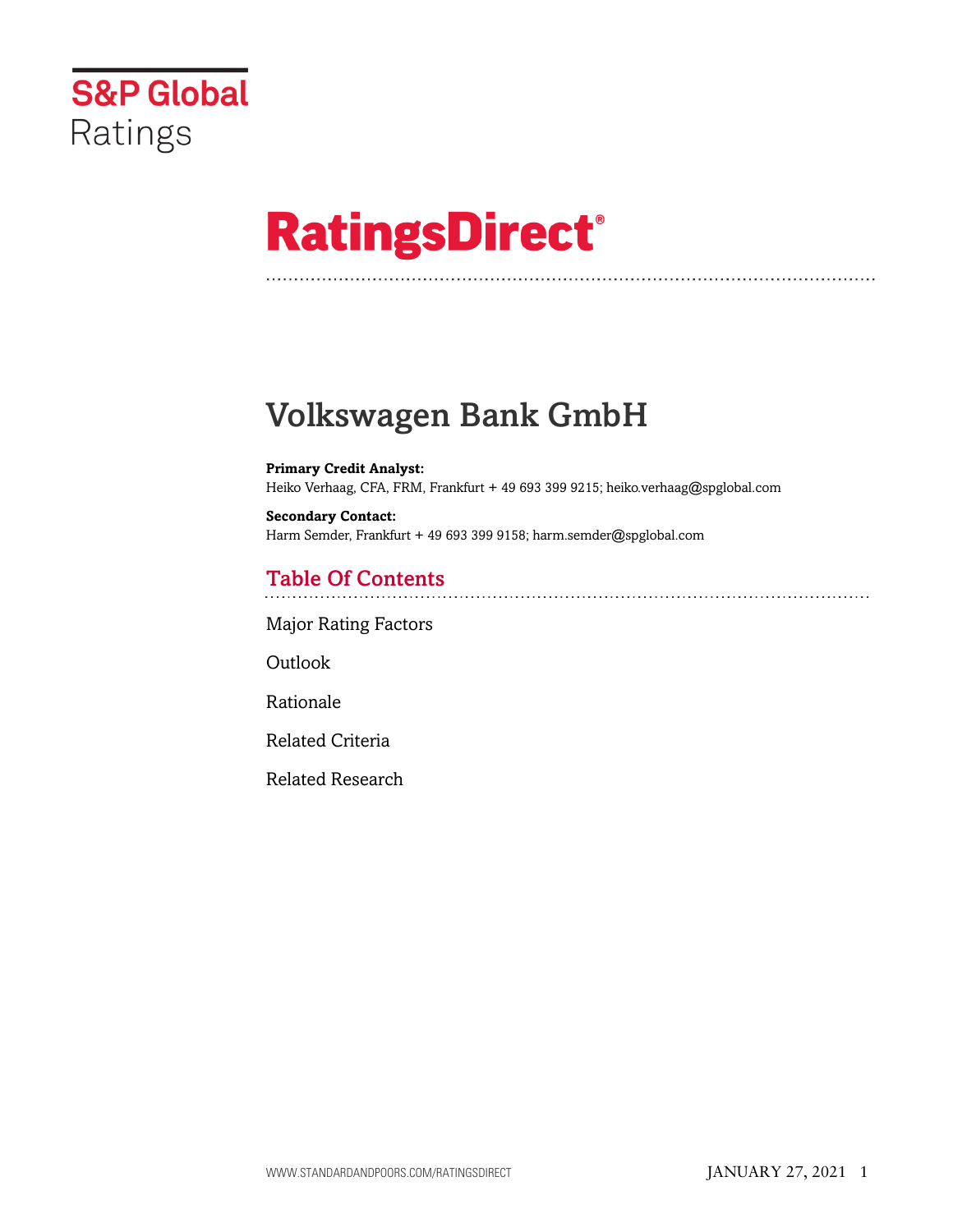

# **RatingsDirect®**

## Volkswagen Bank GmbH

**Primary Credit Analyst:** Heiko Verhaag, CFA, FRM, Frankfurt + 49 693 399 9215; heiko.verhaag@spglobal.com

**Secondary Contact:** Harm Semder, Frankfurt + 49 693 399 9158; harm.semder@spglobal.com

## Table Of Contents

[Major Rating Factors](#page-1-0)

[Outlook](#page--1-0)

[Rationale](#page-2-0)

[Related Criteria](#page-11-0)

[Related Research](#page-12-0)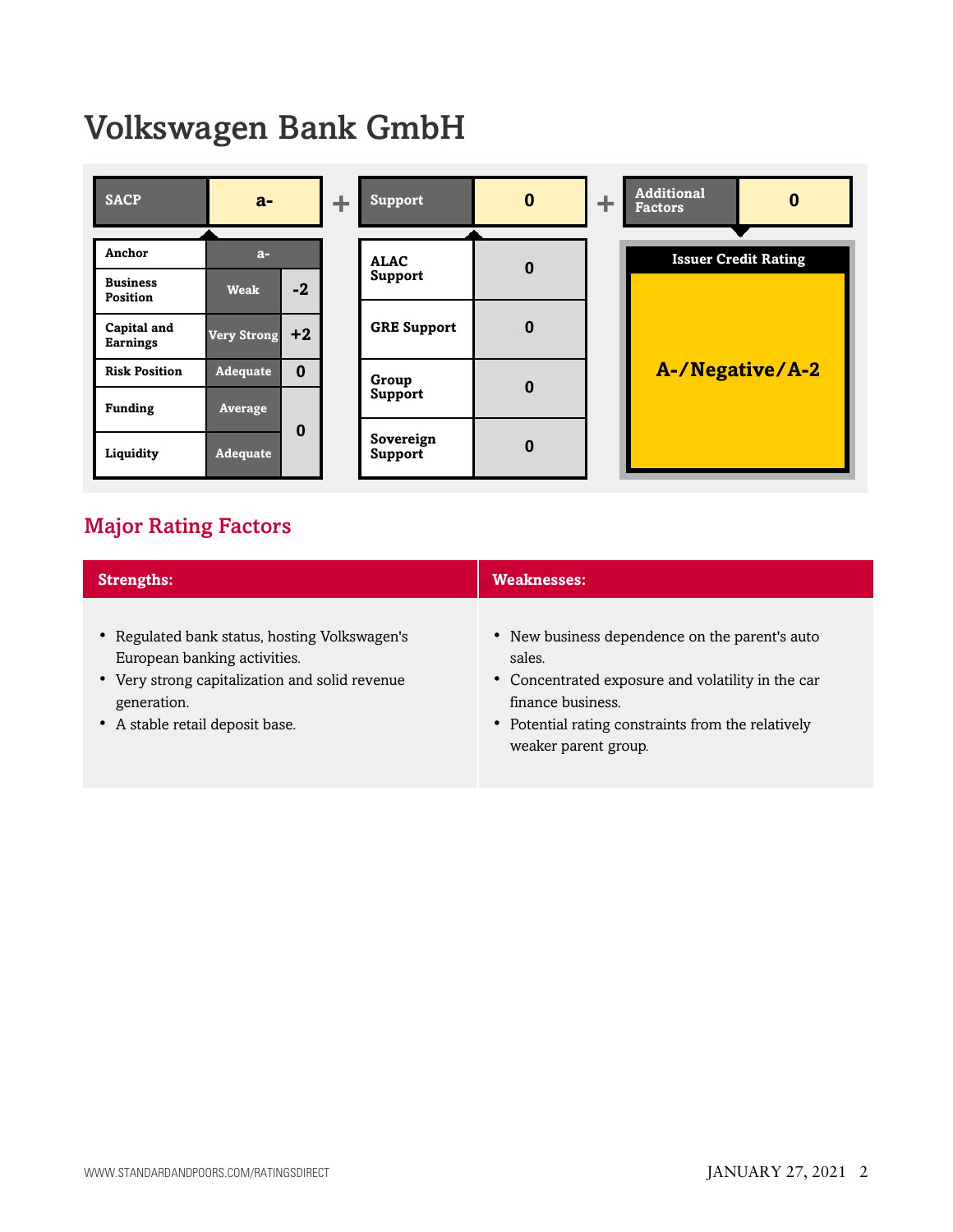## Volkswagen Bank GmbH



## <span id="page-1-0"></span>Major Rating Factors

| <b>Strengths:</b>                                                                                                                                                                 | <b>Weaknesses:</b>                                                                                                                                                                                               |
|-----------------------------------------------------------------------------------------------------------------------------------------------------------------------------------|------------------------------------------------------------------------------------------------------------------------------------------------------------------------------------------------------------------|
| • Regulated bank status, hosting Volkswagen's<br>European banking activities.<br>• Very strong capitalization and solid revenue<br>generation.<br>• A stable retail deposit base. | • New business dependence on the parent's auto<br>sales.<br>• Concentrated exposure and volatility in the car<br>finance business.<br>• Potential rating constraints from the relatively<br>weaker parent group. |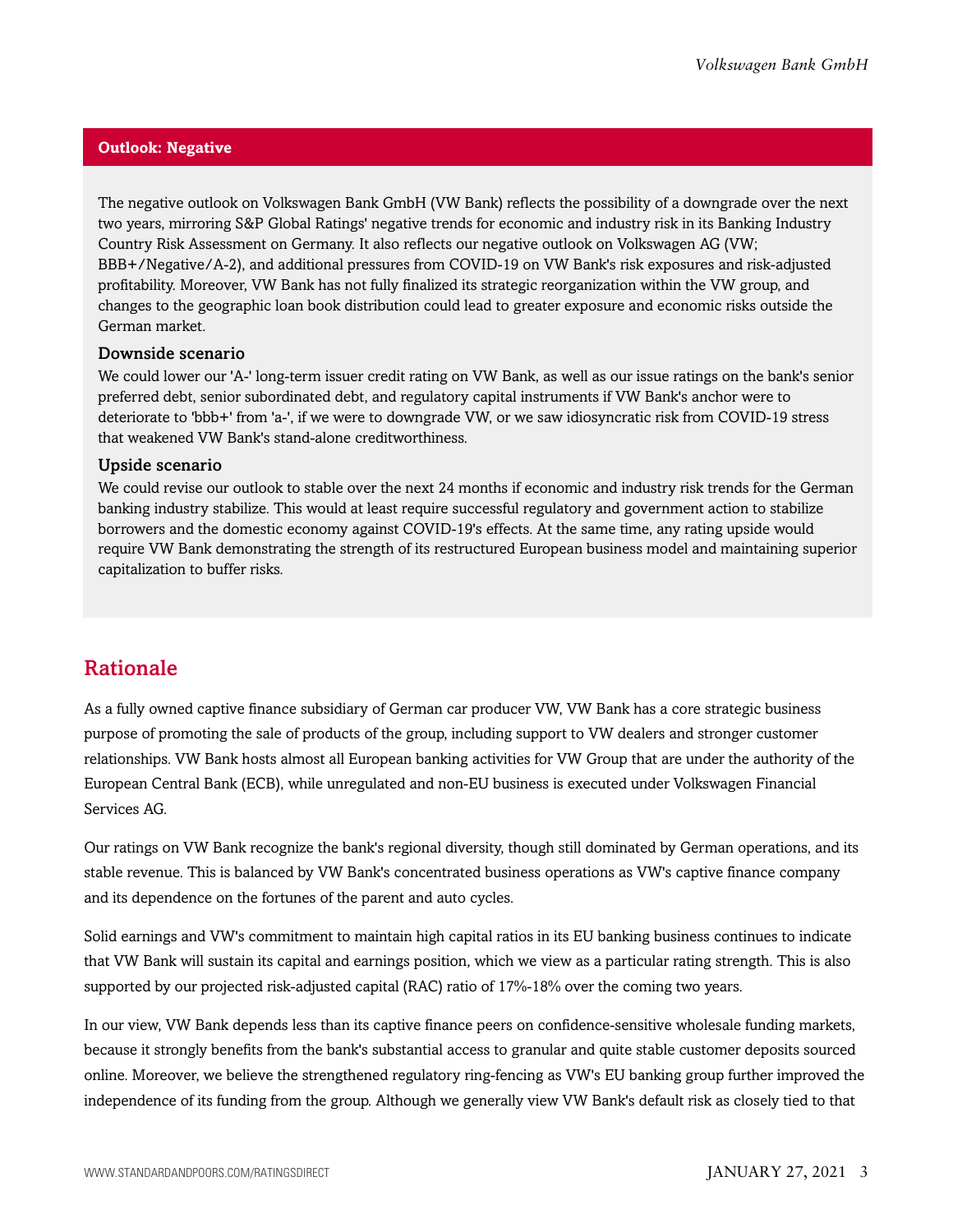## **Outlook: Negative**

The negative outlook on Volkswagen Bank GmbH (VW Bank) reflects the possibility of a downgrade over the next two years, mirroring S&P Global Ratings' negative trends for economic and industry risk in its Banking Industry Country Risk Assessment on Germany. It also reflects our negative outlook on Volkswagen AG (VW; BBB+/Negative/A-2), and additional pressures from COVID-19 on VW Bank's risk exposures and risk-adjusted profitability. Moreover, VW Bank has not fully finalized its strategic reorganization within the VW group, and changes to the geographic loan book distribution could lead to greater exposure and economic risks outside the German market.

## Downside scenario

We could lower our 'A-' long-term issuer credit rating on VW Bank, as well as our issue ratings on the bank's senior preferred debt, senior subordinated debt, and regulatory capital instruments if VW Bank's anchor were to deteriorate to 'bbb+' from 'a-', if we were to downgrade VW, or we saw idiosyncratic risk from COVID-19 stress that weakened VW Bank's stand-alone creditworthiness.

## Upside scenario

We could revise our outlook to stable over the next 24 months if economic and industry risk trends for the German banking industry stabilize. This would at least require successful regulatory and government action to stabilize borrowers and the domestic economy against COVID-19's effects. At the same time, any rating upside would require VW Bank demonstrating the strength of its restructured European business model and maintaining superior capitalization to buffer risks.

## <span id="page-2-0"></span>Rationale

As a fully owned captive finance subsidiary of German car producer VW, VW Bank has a core strategic business purpose of promoting the sale of products of the group, including support to VW dealers and stronger customer relationships. VW Bank hosts almost all European banking activities for VW Group that are under the authority of the European Central Bank (ECB), while unregulated and non-EU business is executed under Volkswagen Financial Services AG.

Our ratings on VW Bank recognize the bank's regional diversity, though still dominated by German operations, and its stable revenue. This is balanced by VW Bank's concentrated business operations as VW's captive finance company and its dependence on the fortunes of the parent and auto cycles.

Solid earnings and VW's commitment to maintain high capital ratios in its EU banking business continues to indicate that VW Bank will sustain its capital and earnings position, which we view as a particular rating strength. This is also supported by our projected risk-adjusted capital (RAC) ratio of 17%-18% over the coming two years.

In our view, VW Bank depends less than its captive finance peers on confidence-sensitive wholesale funding markets, because it strongly benefits from the bank's substantial access to granular and quite stable customer deposits sourced online. Moreover, we believe the strengthened regulatory ring-fencing as VW's EU banking group further improved the independence of its funding from the group. Although we generally view VW Bank's default risk as closely tied to that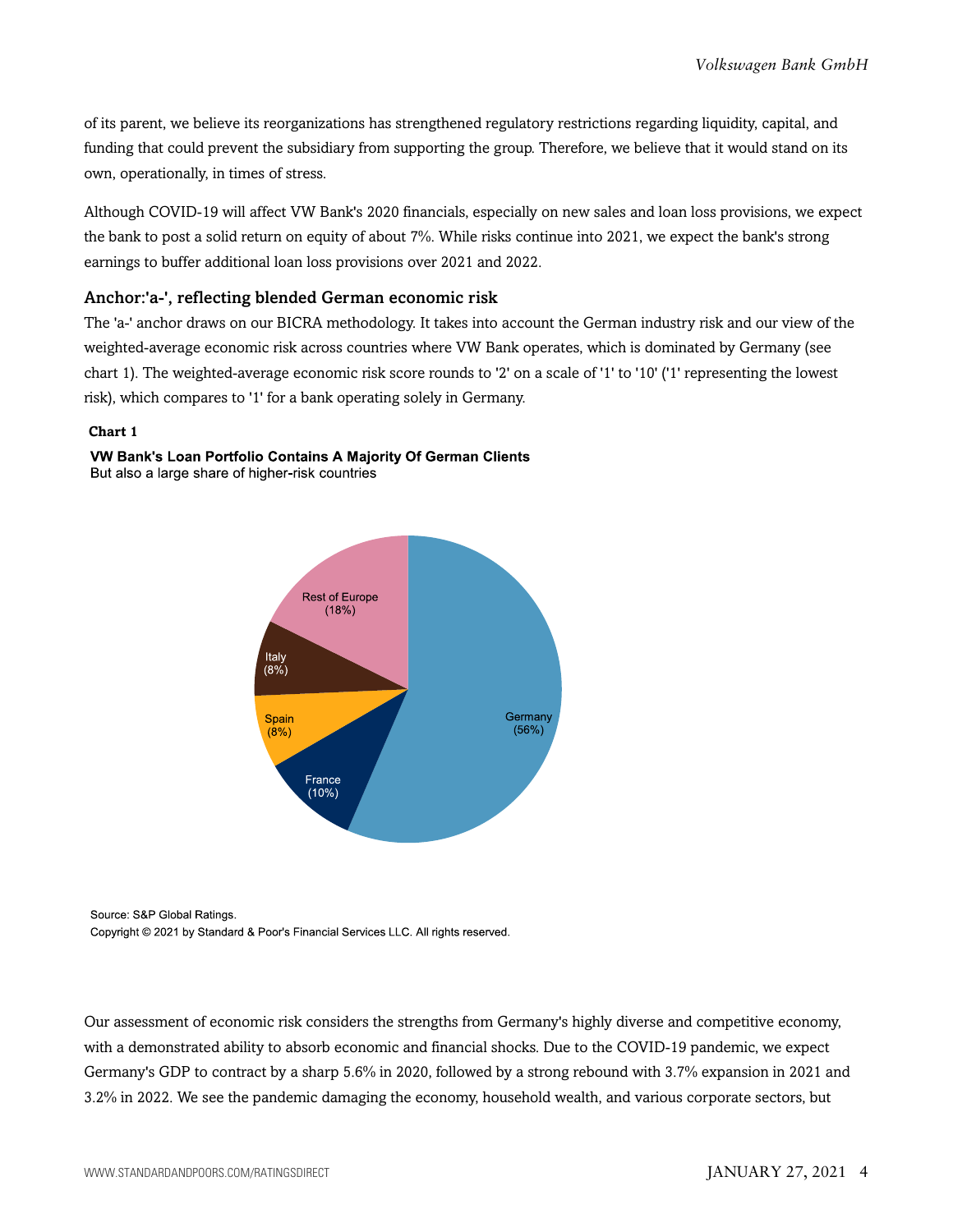of its parent, we believe its reorganizations has strengthened regulatory restrictions regarding liquidity, capital, and funding that could prevent the subsidiary from supporting the group. Therefore, we believe that it would stand on its own, operationally, in times of stress.

Although COVID-19 will affect VW Bank's 2020 financials, especially on new sales and loan loss provisions, we expect the bank to post a solid return on equity of about 7%. While risks continue into 2021, we expect the bank's strong earnings to buffer additional loan loss provisions over 2021 and 2022.

## Anchor:'a-', reflecting blended German economic risk

The 'a-' anchor draws on our BICRA methodology. It takes into account the German industry risk and our view of the weighted-average economic risk across countries where VW Bank operates, which is dominated by Germany (see chart 1). The weighted-average economic risk score rounds to '2' on a scale of '1' to '10' ('1' representing the lowest risk), which compares to '1' for a bank operating solely in Germany.

## **Chart 1**



VW Bank's Loan Portfolio Contains A Majority Of German Clients But also a large share of higher-risk countries

Source: S&P Global Ratings.

Copyright @ 2021 by Standard & Poor's Financial Services LLC. All rights reserved.

Our assessment of economic risk considers the strengths from Germany's highly diverse and competitive economy, with a demonstrated ability to absorb economic and financial shocks. Due to the COVID-19 pandemic, we expect Germany's GDP to contract by a sharp 5.6% in 2020, followed by a strong rebound with 3.7% expansion in 2021 and 3.2% in 2022. We see the pandemic damaging the economy, household wealth, and various corporate sectors, but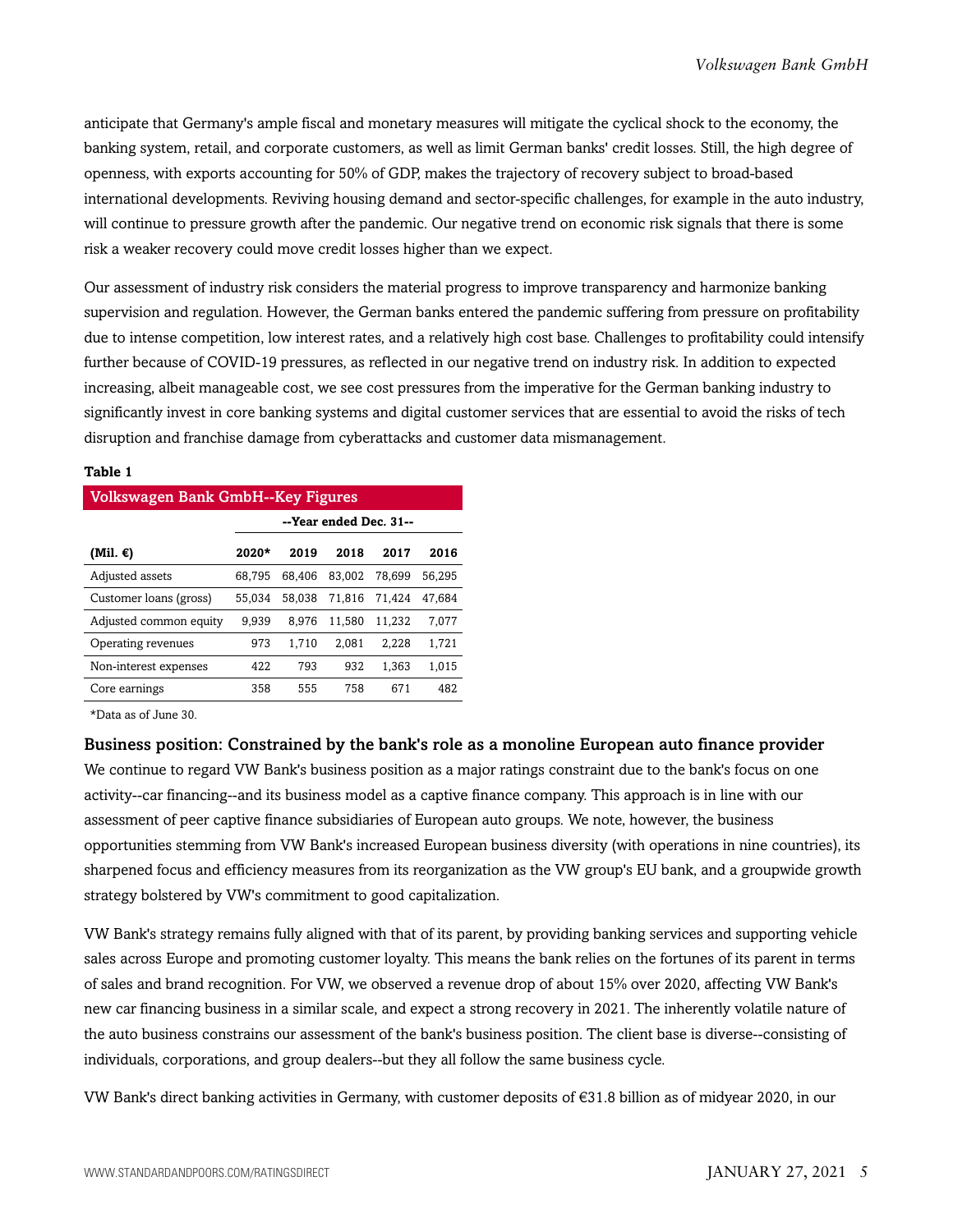anticipate that Germany's ample fiscal and monetary measures will mitigate the cyclical shock to the economy, the banking system, retail, and corporate customers, as well as limit German banks' credit losses. Still, the high degree of openness, with exports accounting for 50% of GDP, makes the trajectory of recovery subject to broad-based international developments. Reviving housing demand and sector-specific challenges, for example in the auto industry, will continue to pressure growth after the pandemic. Our negative trend on economic risk signals that there is some risk a weaker recovery could move credit losses higher than we expect.

Our assessment of industry risk considers the material progress to improve transparency and harmonize banking supervision and regulation. However, the German banks entered the pandemic suffering from pressure on profitability due to intense competition, low interest rates, and a relatively high cost base. Challenges to profitability could intensify further because of COVID-19 pressures, as reflected in our negative trend on industry risk. In addition to expected increasing, albeit manageable cost, we see cost pressures from the imperative for the German banking industry to significantly invest in core banking systems and digital customer services that are essential to avoid the risks of tech disruption and franchise damage from cyberattacks and customer data mismanagement.

### **Table 1**

| Volkswagen Bank GmbH--Key Figures |                        |        |        |        |        |  |  |  |  |
|-----------------------------------|------------------------|--------|--------|--------|--------|--|--|--|--|
|                                   | --Year ended Dec. 31-- |        |        |        |        |  |  |  |  |
| (Mil. $\epsilon$ )                | $2020*$                | 2019   | 2018   | 2017   | 2016   |  |  |  |  |
| Adjusted assets                   | 68.795                 | 68,406 | 83.002 | 78.699 | 56,295 |  |  |  |  |
| Customer loans (gross)            | 55.034                 | 58.038 | 71.816 | 71.424 | 47.684 |  |  |  |  |
| Adjusted common equity            | 9.939                  | 8.976  | 11,580 | 11,232 | 7,077  |  |  |  |  |
| Operating revenues                | 973                    | 1.710  | 2.081  | 2.228  | 1,721  |  |  |  |  |
| Non-interest expenses             | 422                    | 793    | 932    | 1.363  | 1.015  |  |  |  |  |
| Core earnings                     | 358                    | 555    | 758    | 671    | 482    |  |  |  |  |

\*Data as of June 30.

Business position: Constrained by the bank's role as a monoline European auto finance provider

We continue to regard VW Bank's business position as a major ratings constraint due to the bank's focus on one activity--car financing--and its business model as a captive finance company. This approach is in line with our assessment of peer captive finance subsidiaries of European auto groups. We note, however, the business opportunities stemming from VW Bank's increased European business diversity (with operations in nine countries), its sharpened focus and efficiency measures from its reorganization as the VW group's EU bank, and a groupwide growth strategy bolstered by VW's commitment to good capitalization.

VW Bank's strategy remains fully aligned with that of its parent, by providing banking services and supporting vehicle sales across Europe and promoting customer loyalty. This means the bank relies on the fortunes of its parent in terms of sales and brand recognition. For VW, we observed a revenue drop of about 15% over 2020, affecting VW Bank's new car financing business in a similar scale, and expect a strong recovery in 2021. The inherently volatile nature of the auto business constrains our assessment of the bank's business position. The client base is diverse--consisting of individuals, corporations, and group dealers--but they all follow the same business cycle.

VW Bank's direct banking activities in Germany, with customer deposits of €31.8 billion as of midyear 2020, in our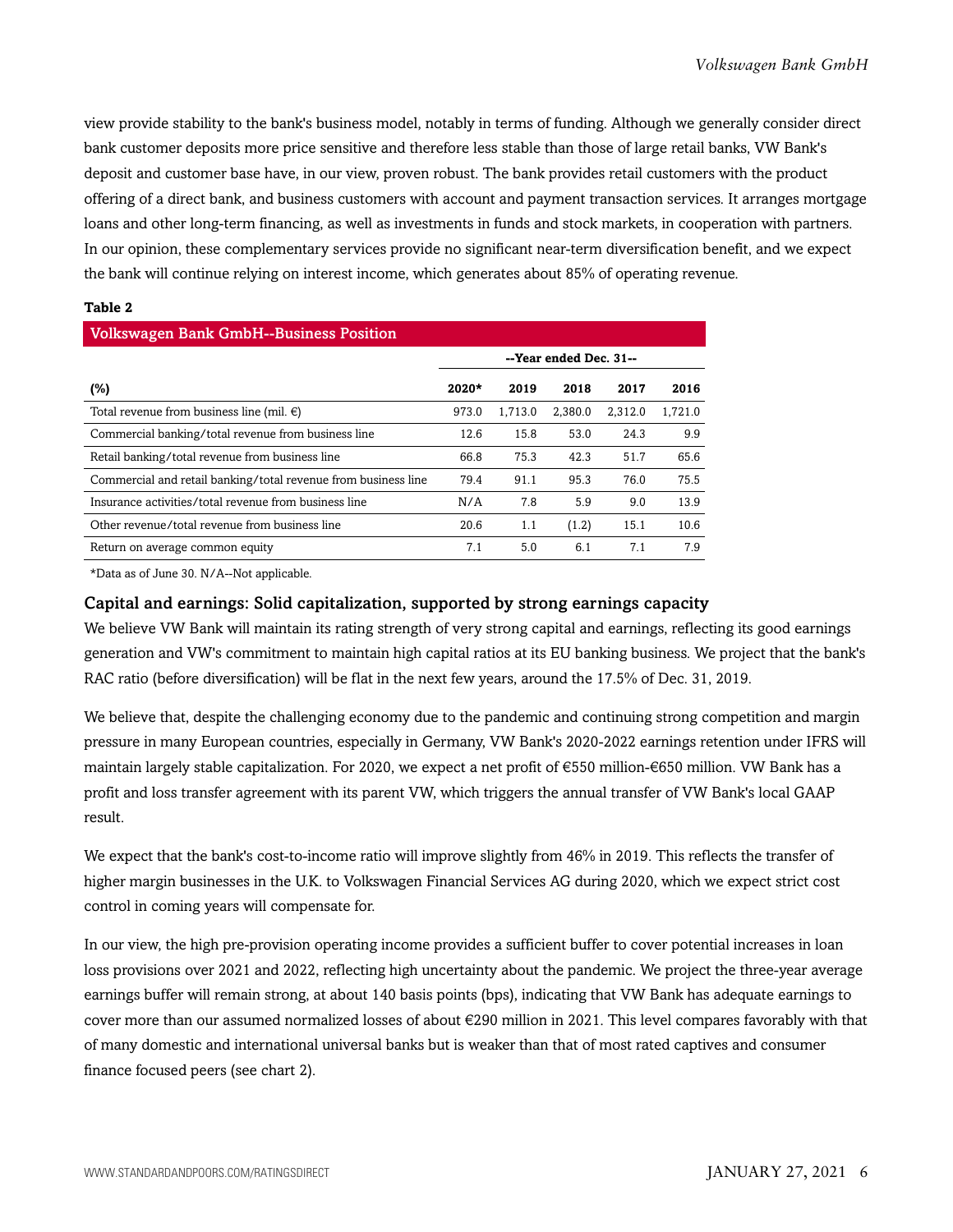view provide stability to the bank's business model, notably in terms of funding. Although we generally consider direct bank customer deposits more price sensitive and therefore less stable than those of large retail banks, VW Bank's deposit and customer base have, in our view, proven robust. The bank provides retail customers with the product offering of a direct bank, and business customers with account and payment transaction services. It arranges mortgage loans and other long-term financing, as well as investments in funds and stock markets, in cooperation with partners. In our opinion, these complementary services provide no significant near-term diversification benefit, and we expect the bank will continue relying on interest income, which generates about 85% of operating revenue.

## **Table 2**

| <b>Volkswagen Bank GmbH--Business Position</b>                 |                        |         |         |         |         |  |  |  |  |
|----------------------------------------------------------------|------------------------|---------|---------|---------|---------|--|--|--|--|
|                                                                | --Year ended Dec. 31-- |         |         |         |         |  |  |  |  |
| (%)                                                            | $2020*$                | 2019    | 2018    | 2017    | 2016    |  |  |  |  |
| Total revenue from business line (mil. $\epsilon$ )            | 973.0                  | 1.713.0 | 2.380.0 | 2.312.0 | 1.721.0 |  |  |  |  |
| Commercial banking/total revenue from business line            | 12.6                   | 15.8    | 53.0    | 24.3    | 9.9     |  |  |  |  |
| Retail banking/total revenue from business line                | 66.8                   | 75.3    | 42.3    | 51.7    | 65.6    |  |  |  |  |
| Commercial and retail banking/total revenue from business line | 79.4                   | 91.1    | 95.3    | 76.0    | 75.5    |  |  |  |  |
| Insurance activities/total revenue from business line          | N/A                    | 7.8     | 5.9     | 9.0     | 13.9    |  |  |  |  |
| Other revenue/total revenue from business line                 | 20.6                   | 1.1     | (1.2)   | 15.1    | 10.6    |  |  |  |  |
| Return on average common equity                                | 7.1                    | 5.0     | 6.1     | 7.1     | 7.9     |  |  |  |  |

\*Data as of June 30. N/A--Not applicable.

## Capital and earnings: Solid capitalization, supported by strong earnings capacity

We believe VW Bank will maintain its rating strength of very strong capital and earnings, reflecting its good earnings generation and VW's commitment to maintain high capital ratios at its EU banking business. We project that the bank's RAC ratio (before diversification) will be flat in the next few years, around the 17.5% of Dec. 31, 2019.

We believe that, despite the challenging economy due to the pandemic and continuing strong competition and margin pressure in many European countries, especially in Germany, VW Bank's 2020-2022 earnings retention under IFRS will maintain largely stable capitalization. For 2020, we expect a net profit of €550 million-€650 million. VW Bank has a profit and loss transfer agreement with its parent VW, which triggers the annual transfer of VW Bank's local GAAP result.

We expect that the bank's cost-to-income ratio will improve slightly from 46% in 2019. This reflects the transfer of higher margin businesses in the U.K. to Volkswagen Financial Services AG during 2020, which we expect strict cost control in coming years will compensate for.

In our view, the high pre-provision operating income provides a sufficient buffer to cover potential increases in loan loss provisions over 2021 and 2022, reflecting high uncertainty about the pandemic. We project the three-year average earnings buffer will remain strong, at about 140 basis points (bps), indicating that VW Bank has adequate earnings to cover more than our assumed normalized losses of about €290 million in 2021. This level compares favorably with that of many domestic and international universal banks but is weaker than that of most rated captives and consumer finance focused peers (see chart 2).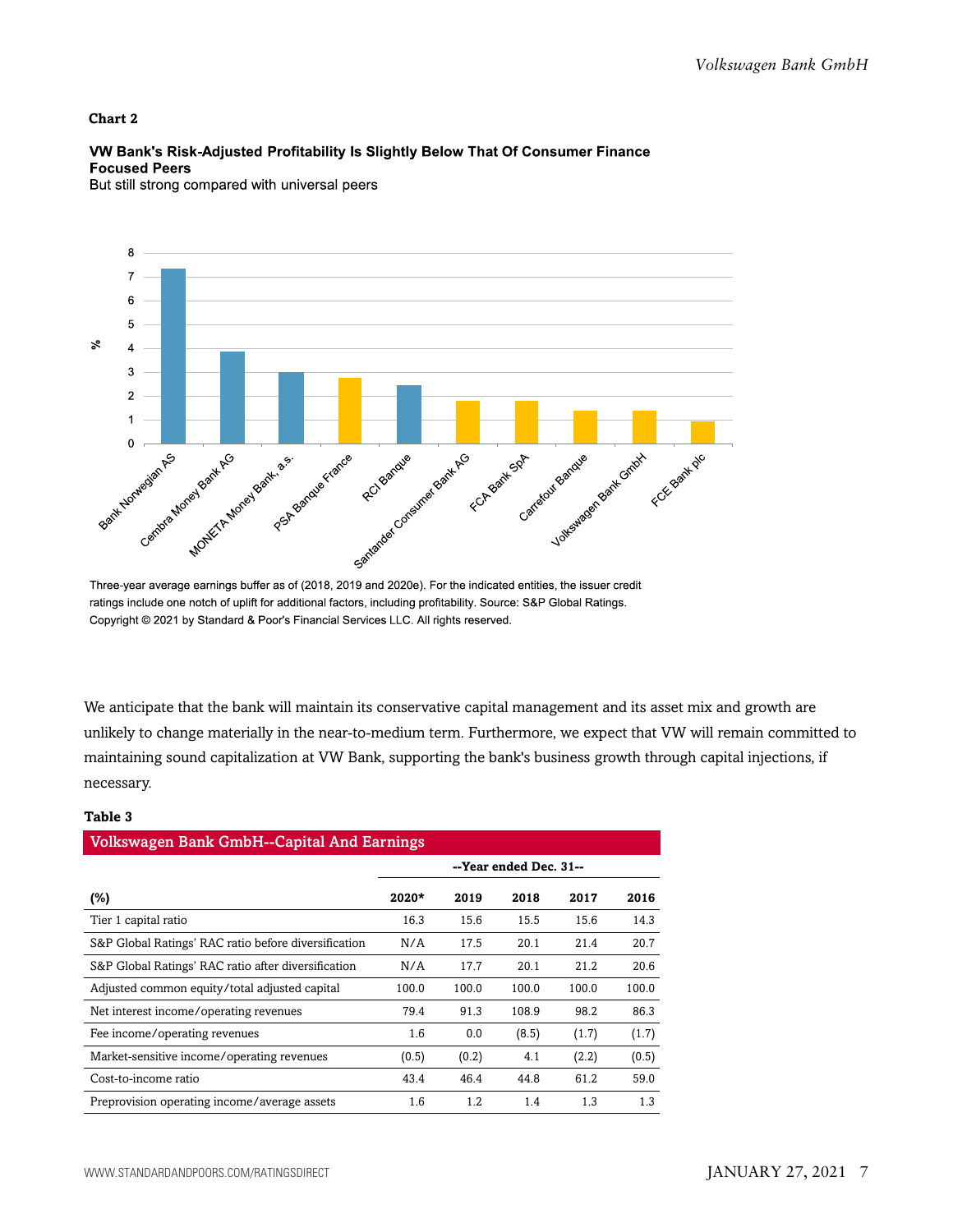## **Chart 2**

## VW Bank's Risk-Adjusted Profitability Is Slightly Below That Of Consumer Finance **Focused Peers**

But still strong compared with universal peers



Three-year average earnings buffer as of (2018, 2019 and 2020e). For the indicated entities, the issuer credit ratings include one notch of uplift for additional factors, including profitability. Source: S&P Global Ratings. Copyright © 2021 by Standard & Poor's Financial Services LLC. All rights reserved.

We anticipate that the bank will maintain its conservative capital management and its asset mix and growth are unlikely to change materially in the near-to-medium term. Furthermore, we expect that VW will remain committed to maintaining sound capitalization at VW Bank, supporting the bank's business growth through capital injections, if necessary.

### **Table 3**

| <b>Volkswagen Bank GmbH--Capital And Earnings</b>    |                        |       |       |       |       |  |  |  |
|------------------------------------------------------|------------------------|-------|-------|-------|-------|--|--|--|
|                                                      | --Year ended Dec. 31-- |       |       |       |       |  |  |  |
| (%)                                                  | $2020*$                | 2019  | 2018  | 2017  | 2016  |  |  |  |
| Tier 1 capital ratio                                 | 16.3                   | 15.6  | 15.5  | 15.6  | 14.3  |  |  |  |
| S&P Global Ratings' RAC ratio before diversification | N/A                    | 17.5  | 20.1  | 21.4  | 20.7  |  |  |  |
| S&P Global Ratings' RAC ratio after diversification  | N/A                    | 17.7  | 20.1  | 21.2  | 20.6  |  |  |  |
| Adjusted common equity/total adjusted capital        | 100.0                  | 100.0 | 100.0 | 100.0 | 100.0 |  |  |  |
| Net interest income/operating revenues               | 79.4                   | 91.3  | 108.9 | 98.2  | 86.3  |  |  |  |
| Fee income/operating revenues                        | 1.6                    | 0.0   | (8.5) | (1.7) | (1.7) |  |  |  |
| Market-sensitive income/operating revenues           | (0.5)                  | (0.2) | 4.1   | (2.2) | (0.5) |  |  |  |
| Cost-to-income ratio                                 | 43.4                   | 46.4  | 44.8  | 61.2  | 59.0  |  |  |  |
| Preprovision operating income/average assets         | 1.6                    | 1.2   | 1.4   | 1.3   | 1.3   |  |  |  |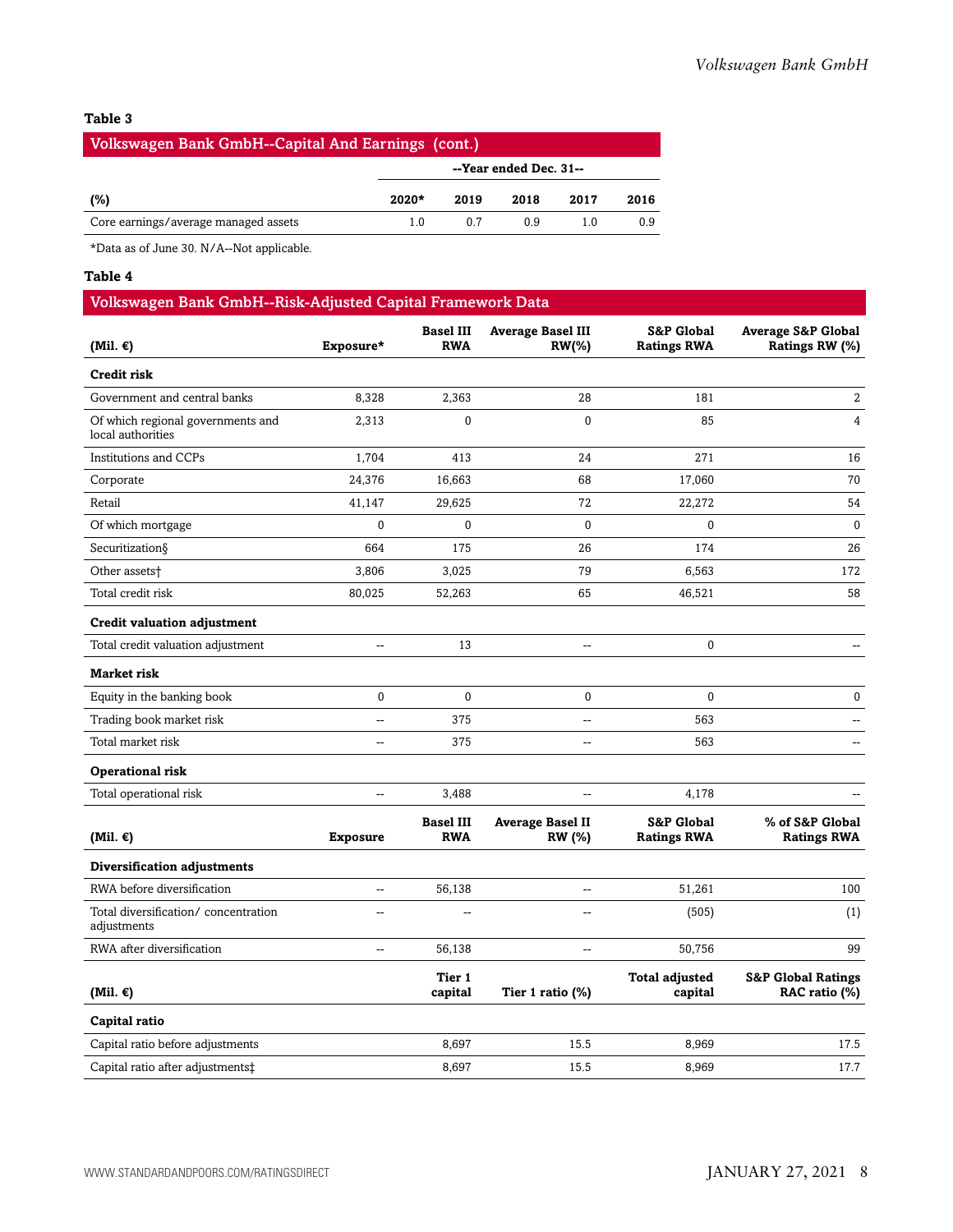## **Table 3**

| <b>Volkswagen Bank GmbH--Capital And Earnings (cont.)</b> |         |                        |      |      |      |  |  |  |
|-----------------------------------------------------------|---------|------------------------|------|------|------|--|--|--|
|                                                           |         | --Year ended Dec. 31-- |      |      |      |  |  |  |
| (%)                                                       | $2020*$ | 2019                   | 2018 | 2017 | 2016 |  |  |  |
| Core earnings/average managed assets                      | 10      | 0 7                    | 09   |      | 0.9  |  |  |  |

\*Data as of June 30. N/A--Not applicable.

## **Table 4**

## Volkswagen Bank GmbH--Risk-Adjusted Capital Framework Data

| (Mil. $\epsilon$ )                                     | Exposure*       | <b>Basel III</b><br><b>RWA</b> | <b>Average Basel III</b><br><b>RW(%)</b> | S&P Global<br><b>Ratings RWA</b>            | <b>Average S&amp;P Global</b><br>Ratings RW (%) |
|--------------------------------------------------------|-----------------|--------------------------------|------------------------------------------|---------------------------------------------|-------------------------------------------------|
| <b>Credit risk</b>                                     |                 |                                |                                          |                                             |                                                 |
| Government and central banks                           | 8,328           | 2,363                          | 28                                       | 181                                         | $\overline{2}$                                  |
| Of which regional governments and<br>local authorities | 2,313           | 0                              | $\mathbf 0$                              | 85                                          | $\overline{4}$                                  |
| Institutions and CCPs                                  | 1,704           | 413                            | 24                                       | 271                                         | 16                                              |
| Corporate                                              | 24,376          | 16,663                         | 68                                       | 17,060                                      | 70                                              |
| Retail                                                 | 41,147          | 29,625                         | 72                                       | 22,272                                      | 54                                              |
| Of which mortgage                                      | 0               | $\mathbf{0}$                   | $\mathbf 0$                              | $\mathbf{0}$                                | $\mathbf{0}$                                    |
| Securitization§                                        | 664             | 175                            | 26                                       | 174                                         | 26                                              |
| Other assets†                                          | 3,806           | 3,025                          | 79                                       | 6,563                                       | 172                                             |
| Total credit risk                                      | 80,025          | 52,263                         | 65                                       | 46,521                                      | 58                                              |
| <b>Credit valuation adjustment</b>                     |                 |                                |                                          |                                             |                                                 |
| Total credit valuation adjustment                      | 44              | 13                             | $\overline{\phantom{a}}$                 | $\pmb{0}$                                   | $\sim$ $\sim$                                   |
| <b>Market risk</b>                                     |                 |                                |                                          |                                             |                                                 |
| Equity in the banking book                             | 0               | $\mathbf{0}$                   | 0                                        | $\mathbf{0}$                                | $\bf{0}$                                        |
| Trading book market risk                               | $\overline{a}$  | 375                            | $\overline{\phantom{a}}$                 | 563                                         |                                                 |
| Total market risk                                      | --              | 375                            | $\overline{\phantom{a}}$                 | 563                                         | $\overline{a}$                                  |
| Operational risk                                       |                 |                                |                                          |                                             |                                                 |
| Total operational risk                                 | --              | 3,488                          | $\overline{\phantom{a}}$                 | 4,178                                       |                                                 |
| (Mil. $\epsilon$ )                                     | <b>Exposure</b> | <b>Basel III</b><br><b>RWA</b> | <b>Average Basel II</b><br><b>RW</b> (%) | <b>S&amp;P Global</b><br><b>Ratings RWA</b> | % of S&P Global<br><b>Ratings RWA</b>           |
| Diversification adjustments                            |                 |                                |                                          |                                             |                                                 |
| RWA before diversification                             | --              | 56,138                         | $-$                                      | 51,261                                      | 100                                             |
| Total diversification/concentration<br>adjustments     | $\overline{a}$  | $\overline{a}$                 | $\overline{\phantom{a}}$                 | (505)                                       | (1)                                             |
| RWA after diversification                              | --              | 56,138                         | Ξ.                                       | 50,756                                      | 99                                              |
| (Mil. €)                                               |                 | Tier 1<br>capital              | Tier 1 ratio (%)                         | <b>Total adjusted</b><br>capital            | <b>S&amp;P Global Ratings</b><br>RAC ratio (%)  |
| Capital ratio                                          |                 |                                |                                          |                                             |                                                 |
| Capital ratio before adjustments                       |                 | 8,697                          | 15.5                                     | 8,969                                       | 17.5                                            |
| Capital ratio after adjustments‡                       |                 | 8,697                          | 15.5                                     | 8,969                                       | 17.7                                            |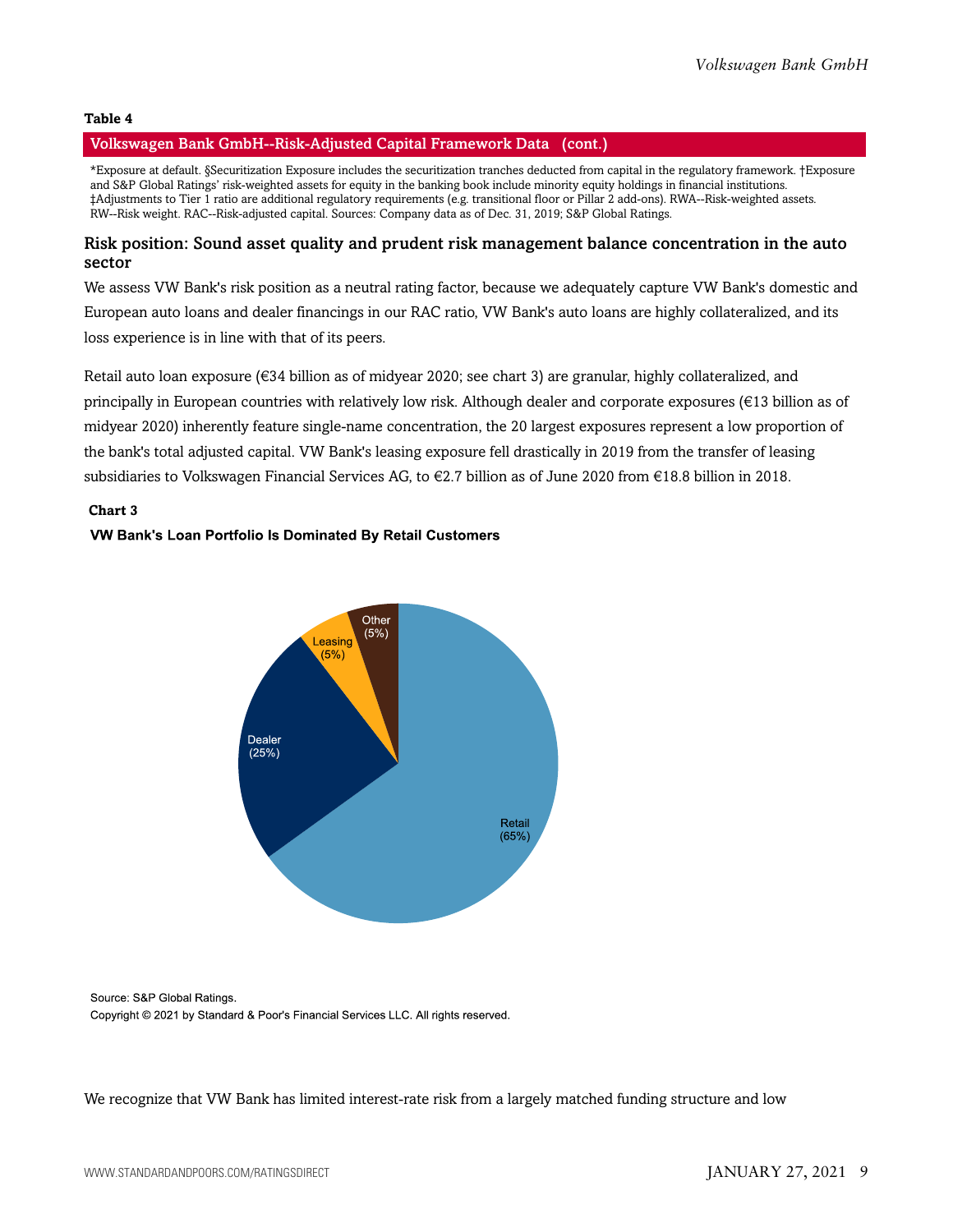#### **Table 4**

## Volkswagen Bank GmbH--Risk-Adjusted Capital Framework Data (cont.)

\*Exposure at default. §Securitization Exposure includes the securitization tranches deducted from capital in the regulatory framework. †Exposure and S&P Global Ratings' risk-weighted assets for equity in the banking book include minority equity holdings in financial institutions. ‡Adjustments to Tier 1 ratio are additional regulatory requirements (e.g. transitional floor or Pillar 2 add-ons). RWA--Risk-weighted assets. RW--Risk weight. RAC--Risk-adjusted capital. Sources: Company data as of Dec. 31, 2019; S&P Global Ratings.

## Risk position: Sound asset quality and prudent risk management balance concentration in the auto sector

We assess VW Bank's risk position as a neutral rating factor, because we adequately capture VW Bank's domestic and European auto loans and dealer financings in our RAC ratio, VW Bank's auto loans are highly collateralized, and its loss experience is in line with that of its peers.

Retail auto loan exposure (€34 billion as of midyear 2020; see chart 3) are granular, highly collateralized, and principally in European countries with relatively low risk. Although dealer and corporate exposures (€13 billion as of midyear 2020) inherently feature single-name concentration, the 20 largest exposures represent a low proportion of the bank's total adjusted capital. VW Bank's leasing exposure fell drastically in 2019 from the transfer of leasing subsidiaries to Volkswagen Financial Services AG, to €2.7 billion as of June 2020 from €18.8 billion in 2018.

### **Chart 3**

### VW Bank's Loan Portfolio Is Dominated By Retail Customers



Source: S&P Global Ratings. Copyright © 2021 by Standard & Poor's Financial Services LLC. All rights reserved.

We recognize that VW Bank has limited interest-rate risk from a largely matched funding structure and low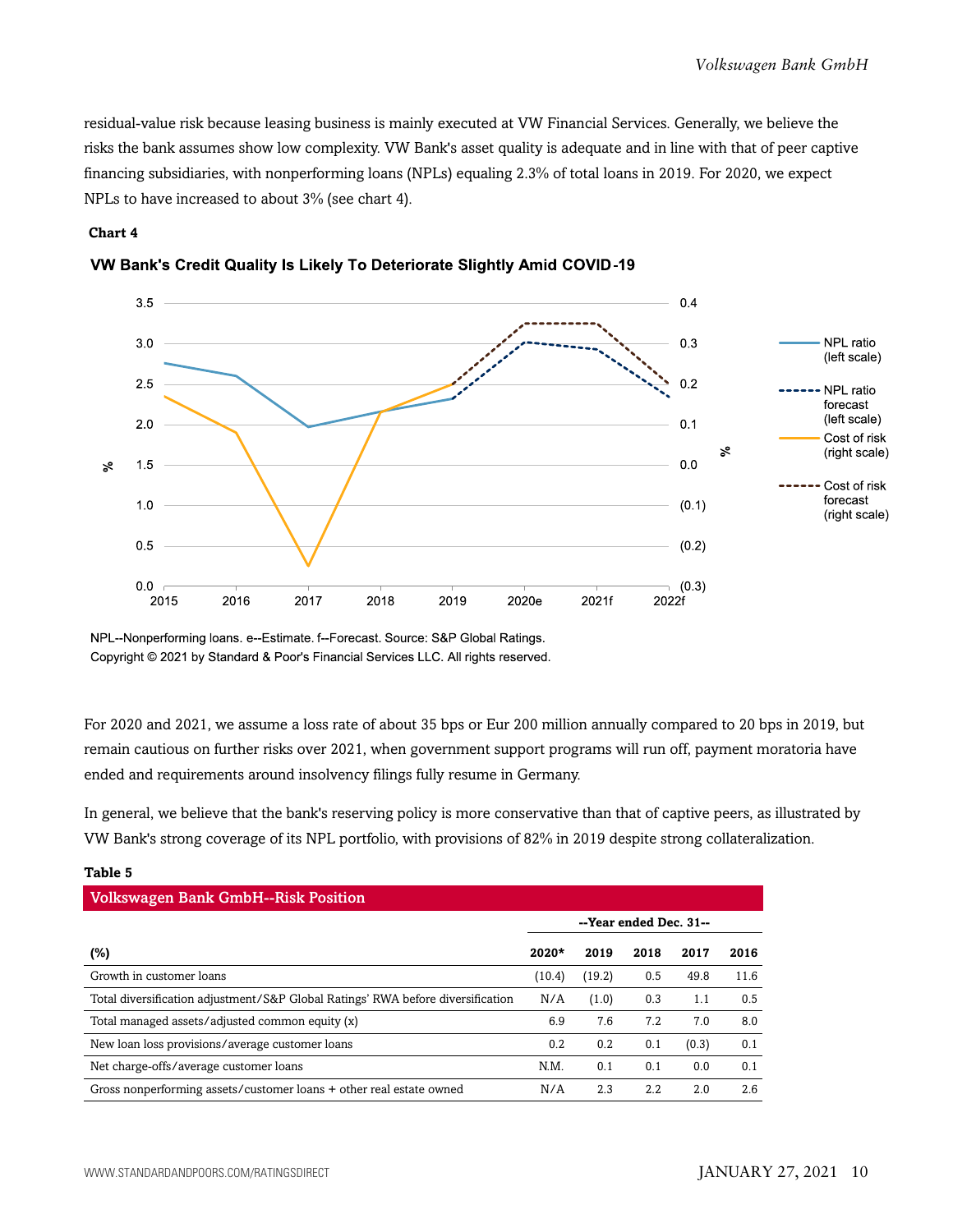residual-value risk because leasing business is mainly executed at VW Financial Services. Generally, we believe the risks the bank assumes show low complexity. VW Bank's asset quality is adequate and in line with that of peer captive financing subsidiaries, with nonperforming loans (NPLs) equaling 2.3% of total loans in 2019. For 2020, we expect NPLs to have increased to about 3% (see chart 4).

### **Chart 4**



## VW Bank's Credit Quality Is Likely To Deteriorate Slightly Amid COVID-19

NPL--Nonperforming loans. e--Estimate. f--Forecast. Source: S&P Global Ratings. Copyright © 2021 by Standard & Poor's Financial Services LLC. All rights reserved.

For 2020 and 2021, we assume a loss rate of about 35 bps or Eur 200 million annually compared to 20 bps in 2019, but remain cautious on further risks over 2021, when government support programs will run off, payment moratoria have ended and requirements around insolvency filings fully resume in Germany.

In general, we believe that the bank's reserving policy is more conservative than that of captive peers, as illustrated by VW Bank's strong coverage of its NPL portfolio, with provisions of 82% in 2019 despite strong collateralization.

| <b>Volkswagen Bank GmbH--Risk Position</b>                                      |                        |        |      |       |      |  |  |  |  |
|---------------------------------------------------------------------------------|------------------------|--------|------|-------|------|--|--|--|--|
|                                                                                 | --Year ended Dec. 31-- |        |      |       |      |  |  |  |  |
| $(\%)$                                                                          | $2020*$                | 2019   | 2018 | 2017  | 2016 |  |  |  |  |
| Growth in customer loans                                                        | (10.4)                 | (19.2) | 0.5  | 49.8  | 11.6 |  |  |  |  |
| Total diversification adjustment/S&P Global Ratings' RWA before diversification | N/A                    | (1.0)  | 0.3  | 1.1   | 0.5  |  |  |  |  |
| Total managed assets/adjusted common equity (x)                                 | 6.9                    | 7.6    | 7.2  | 7.0   | 8.0  |  |  |  |  |
| New loan loss provisions/average customer loans                                 | 0.2                    | 0.2    | 0.1  | (0.3) | 0.1  |  |  |  |  |
| Net charge-offs/average customer loans                                          | N.M.                   | 0.1    | 0.1  | 0.0   | 0.1  |  |  |  |  |
| Gross nonperforming assets/customer loans + other real estate owned             | N/A                    | 2.3    | 2.2  | 2.0   | 2.6  |  |  |  |  |

## **Table 5**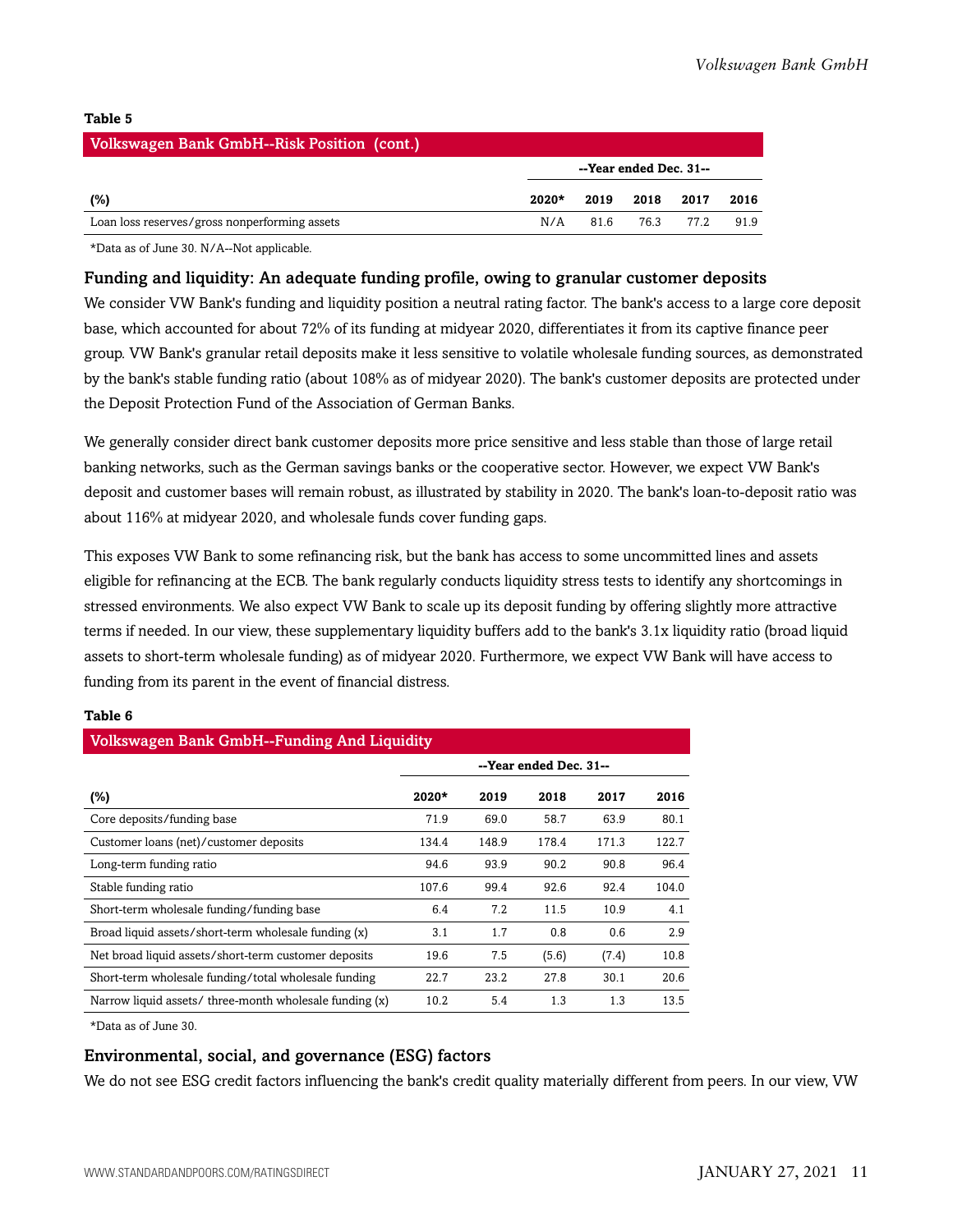## **Table 5**

| <b>Volkswagen Bank GmbH--Risk Position (cont.)</b> |         |                        |      |       |      |  |  |  |
|----------------------------------------------------|---------|------------------------|------|-------|------|--|--|--|
|                                                    |         | --Year ended Dec. 31-- |      |       |      |  |  |  |
| (%)                                                | $2020*$ | 2019                   | 2018 | 2017  | 2016 |  |  |  |
| Loan loss reserves/gross nonperforming assets      | N/A     | 81.6                   | 76.3 | 77 2. | 91.9 |  |  |  |

\*Data as of June 30. N/A--Not applicable.

Funding and liquidity: An adequate funding profile, owing to granular customer deposits

We consider VW Bank's funding and liquidity position a neutral rating factor. The bank's access to a large core deposit base, which accounted for about 72% of its funding at midyear 2020, differentiates it from its captive finance peer group. VW Bank's granular retail deposits make it less sensitive to volatile wholesale funding sources, as demonstrated by the bank's stable funding ratio (about 108% as of midyear 2020). The bank's customer deposits are protected under the Deposit Protection Fund of the Association of German Banks.

We generally consider direct bank customer deposits more price sensitive and less stable than those of large retail banking networks, such as the German savings banks or the cooperative sector. However, we expect VW Bank's deposit and customer bases will remain robust, as illustrated by stability in 2020. The bank's loan-to-deposit ratio was about 116% at midyear 2020, and wholesale funds cover funding gaps.

This exposes VW Bank to some refinancing risk, but the bank has access to some uncommitted lines and assets eligible for refinancing at the ECB. The bank regularly conducts liquidity stress tests to identify any shortcomings in stressed environments. We also expect VW Bank to scale up its deposit funding by offering slightly more attractive terms if needed. In our view, these supplementary liquidity buffers add to the bank's 3.1x liquidity ratio (broad liquid assets to short-term wholesale funding) as of midyear 2020. Furthermore, we expect VW Bank will have access to funding from its parent in the event of financial distress.

### **Table 6**

| <b>Volkswagen Bank GmbH--Funding And Liquidity</b>      |                        |       |       |       |       |  |  |  |
|---------------------------------------------------------|------------------------|-------|-------|-------|-------|--|--|--|
|                                                         | --Year ended Dec. 31-- |       |       |       |       |  |  |  |
| $(\%)$                                                  | $2020*$                | 2019  | 2018  | 2017  | 2016  |  |  |  |
| Core deposits/funding base                              | 71.9                   | 69.0  | 58.7  | 63.9  | 80.1  |  |  |  |
| Customer loans (net)/customer deposits                  | 134.4                  | 148.9 | 178.4 | 171.3 | 122.7 |  |  |  |
| Long-term funding ratio                                 | 94.6                   | 93.9  | 90.2  | 90.8  | 96.4  |  |  |  |
| Stable funding ratio                                    | 107.6                  | 99.4  | 92.6  | 92.4  | 104.0 |  |  |  |
| Short-term wholesale funding/funding base               | 6.4                    | 7.2   | 11.5  | 10.9  | 4.1   |  |  |  |
| Broad liquid assets/short-term wholesale funding (x)    | 3.1                    | 1.7   | 0.8   | 0.6   | 2.9   |  |  |  |
| Net broad liquid assets/short-term customer deposits    | 19.6                   | 7.5   | (5.6) | (7.4) | 10.8  |  |  |  |
| Short-term wholesale funding/total wholesale funding    | 22.7                   | 23.2  | 27.8  | 30.1  | 20.6  |  |  |  |
| Narrow liquid assets/ three-month wholesale funding (x) | 10.2                   | 5.4   | 1.3   | 1.3   | 13.5  |  |  |  |

\*Data as of June 30.

## Environmental, social, and governance (ESG) factors

We do not see ESG credit factors influencing the bank's credit quality materially different from peers. In our view, VW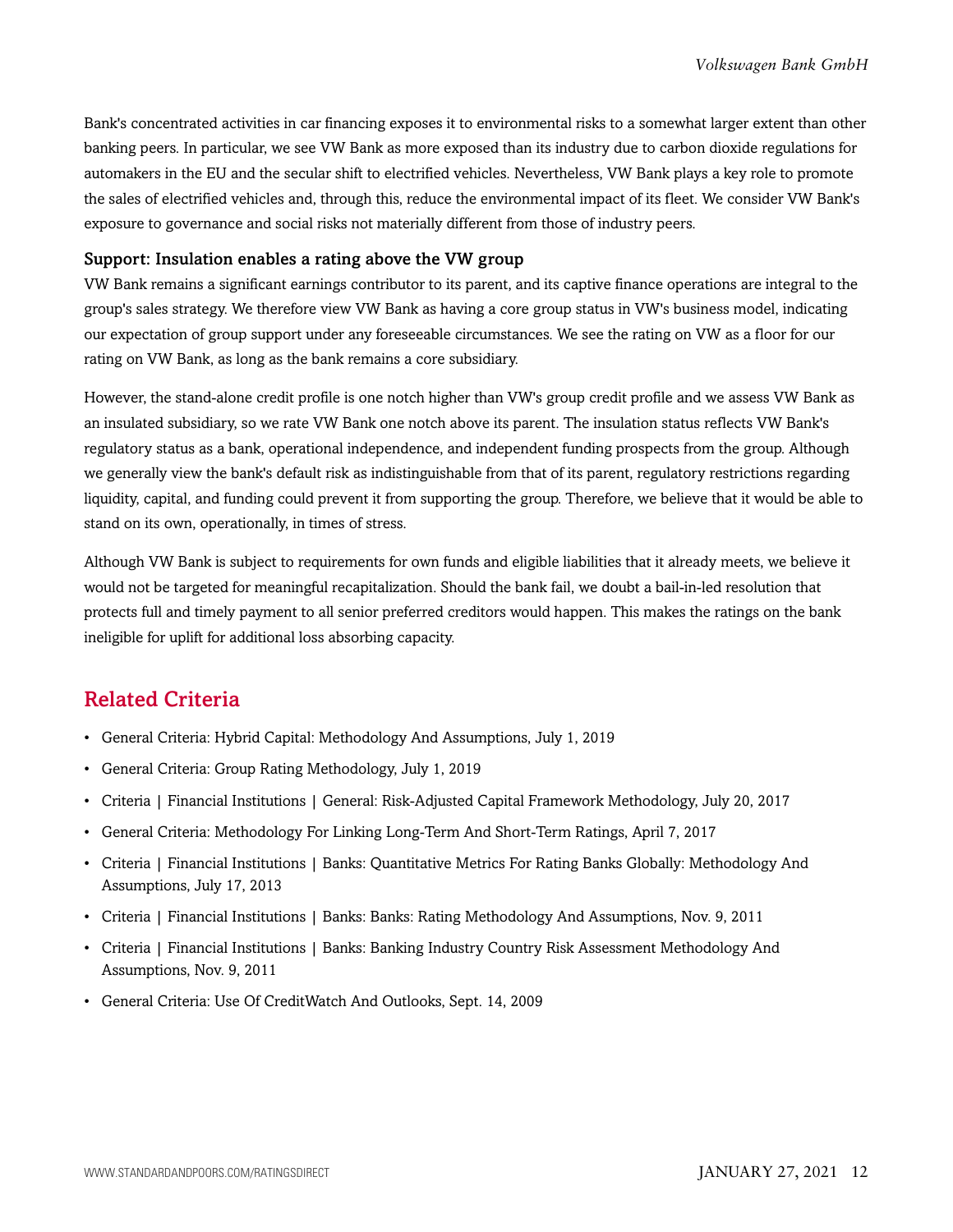Bank's concentrated activities in car financing exposes it to environmental risks to a somewhat larger extent than other banking peers. In particular, we see VW Bank as more exposed than its industry due to carbon dioxide regulations for automakers in the EU and the secular shift to electrified vehicles. Nevertheless, VW Bank plays a key role to promote the sales of electrified vehicles and, through this, reduce the environmental impact of its fleet. We consider VW Bank's exposure to governance and social risks not materially different from those of industry peers.

## Support: Insulation enables a rating above the VW group

VW Bank remains a significant earnings contributor to its parent, and its captive finance operations are integral to the group's sales strategy. We therefore view VW Bank as having a core group status in VW's business model, indicating our expectation of group support under any foreseeable circumstances. We see the rating on VW as a floor for our rating on VW Bank, as long as the bank remains a core subsidiary.

However, the stand-alone credit profile is one notch higher than VW's group credit profile and we assess VW Bank as an insulated subsidiary, so we rate VW Bank one notch above its parent. The insulation status reflects VW Bank's regulatory status as a bank, operational independence, and independent funding prospects from the group. Although we generally view the bank's default risk as indistinguishable from that of its parent, regulatory restrictions regarding liquidity, capital, and funding could prevent it from supporting the group. Therefore, we believe that it would be able to stand on its own, operationally, in times of stress.

Although VW Bank is subject to requirements for own funds and eligible liabilities that it already meets, we believe it would not be targeted for meaningful recapitalization. Should the bank fail, we doubt a bail-in-led resolution that protects full and timely payment to all senior preferred creditors would happen. This makes the ratings on the bank ineligible for uplift for additional loss absorbing capacity.

## <span id="page-11-0"></span>Related Criteria

- General Criteria: Hybrid Capital: Methodology And Assumptions, July 1, 2019
- General Criteria: Group Rating Methodology, July 1, 2019
- Criteria | Financial Institutions | General: Risk-Adjusted Capital Framework Methodology, July 20, 2017
- General Criteria: Methodology For Linking Long-Term And Short-Term Ratings, April 7, 2017
- Criteria | Financial Institutions | Banks: Quantitative Metrics For Rating Banks Globally: Methodology And Assumptions, July 17, 2013
- Criteria | Financial Institutions | Banks: Banks: Rating Methodology And Assumptions, Nov. 9, 2011
- Criteria | Financial Institutions | Banks: Banking Industry Country Risk Assessment Methodology And Assumptions, Nov. 9, 2011
- General Criteria: Use Of CreditWatch And Outlooks, Sept. 14, 2009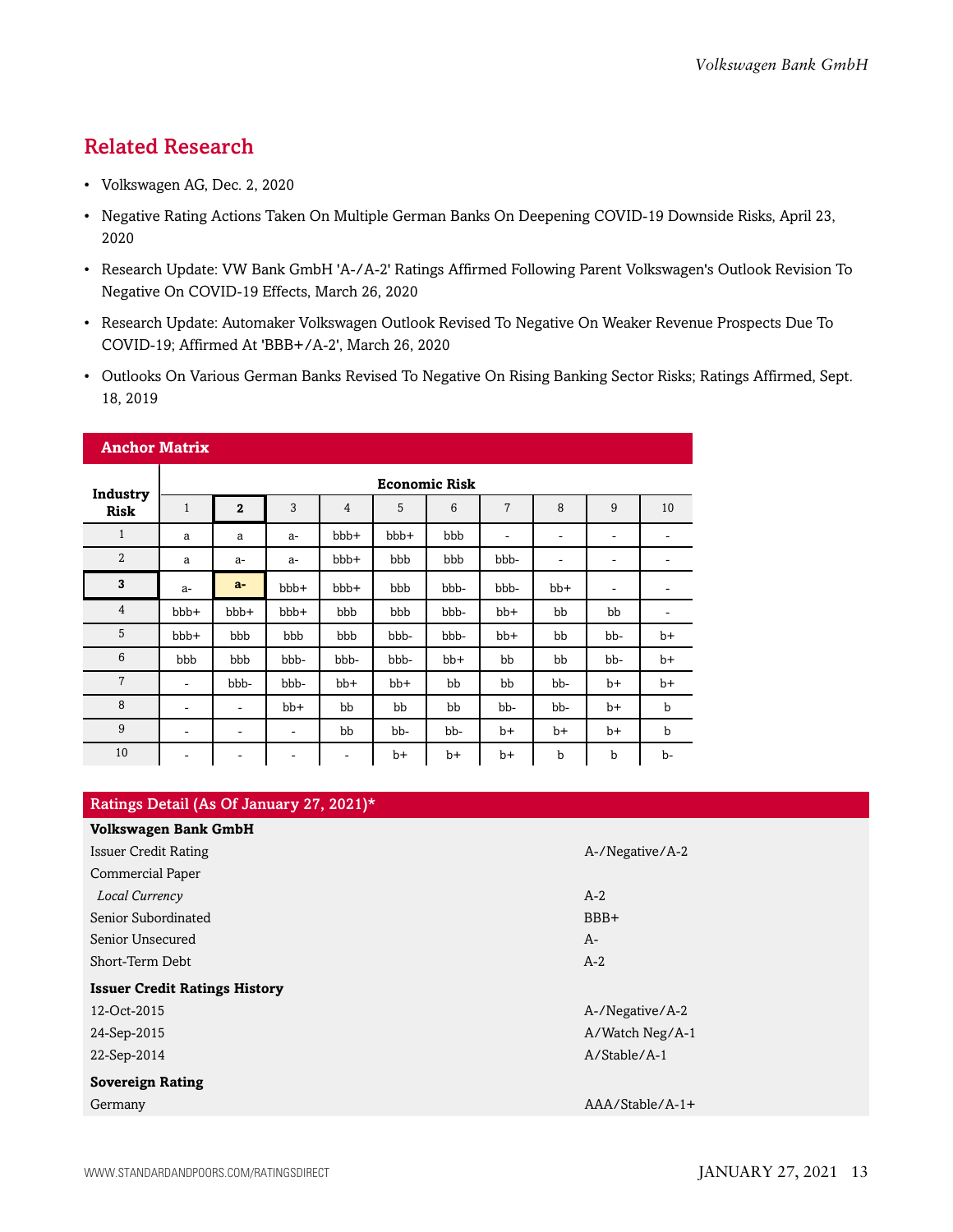## <span id="page-12-0"></span>Related Research

- Volkswagen AG, Dec. 2, 2020
- Negative Rating Actions Taken On Multiple German Banks On Deepening COVID-19 Downside Risks, April 23, 2020
- Research Update: VW Bank GmbH 'A-/A-2' Ratings Affirmed Following Parent Volkswagen's Outlook Revision To Negative On COVID-19 Effects, March 26, 2020
- Research Update: Automaker Volkswagen Outlook Revised To Negative On Weaker Revenue Prospects Due To COVID-19; Affirmed At 'BBB+/A-2', March 26, 2020
- Outlooks On Various German Banks Revised To Negative On Rising Banking Sector Risks; Ratings Affirmed, Sept. 18, 2019

| <b>Anchor Matrix</b> |              |                              |       |                |      |      |                          |                |                              |      |  |
|----------------------|--------------|------------------------------|-------|----------------|------|------|--------------------------|----------------|------------------------------|------|--|
| Industry             |              | <b>Economic Risk</b>         |       |                |      |      |                          |                |                              |      |  |
| <b>Risk</b>          | $\mathbf{1}$ | $\overline{2}$               | 3     | $\overline{4}$ | 5    | 6    | $\overline{7}$           | 8              | 9                            | 10   |  |
| $\mathbf{1}$         | a            | a                            | $a-$  | bbb+           | bbb+ | bbb  | $\overline{\phantom{a}}$ | ۰              | $\qquad \qquad \blacksquare$ | ۰    |  |
| $\overline{2}$       | a            | $a-$                         | $a-$  | bbb+           | bbb  | bbb  | bbb-                     | $\overline{a}$ | -                            |      |  |
| 3                    | $a-$         | $a-$                         | bbb+  | bbb+           | bbb  | bbb- | bbb-                     | bb+            | $\qquad \qquad \blacksquare$ |      |  |
| $\overline{4}$       | bbb+         | bbb+                         | bbb+  | bbb            | bbb  | bbb- | bb+                      | bb             | bb                           | ۰    |  |
| 5                    | bbb+         | bbb                          | bbb   | bbb            | bbb- | bbb- | $bb+$                    | bb             | bb-                          | $b+$ |  |
| 6                    | bbb          | bbb                          | bbb-  | bbb-           | bbb- | bb+  | bb                       | bb             | bb-                          | $b+$ |  |
| $\overline{7}$       | ۰            | bbb-                         | bbb-  | $bb+$          | bb+  | bb   | bb                       | bb-            | $b+$                         | $b+$ |  |
| 8                    | ۰            | ٠                            | $bb+$ | bb             | bb   | bb   | bb-                      | bb-            | $b+$                         | b    |  |
| 9                    | ۰            | $\qquad \qquad \blacksquare$ | ۰     | bb             | bb-  | bb-  | b+                       | $b+$           | $b+$                         | b    |  |
| 10                   | ۰            | ۰                            | ۰     | -              | $b+$ | b+   | $b+$                     | $\mathbf b$    | $\mathbf b$                  | b-   |  |

| Ratings Detail (As Of January 27, 2021)* |                   |  |  |  |  |  |
|------------------------------------------|-------------------|--|--|--|--|--|
| <b>Volkswagen Bank GmbH</b>              |                   |  |  |  |  |  |
| <b>Issuer Credit Rating</b>              | A-/Negative/A-2   |  |  |  |  |  |
| Commercial Paper                         |                   |  |  |  |  |  |
| Local Currency                           | $A-2$             |  |  |  |  |  |
| Senior Subordinated                      | BBB+              |  |  |  |  |  |
| Senior Unsecured                         | $A-$              |  |  |  |  |  |
| Short-Term Debt                          | $A-2$             |  |  |  |  |  |
| <b>Issuer Credit Ratings History</b>     |                   |  |  |  |  |  |
| 12-Oct-2015                              | A-/Negative/A-2   |  |  |  |  |  |
| 24-Sep-2015                              | A/Watch Neg/A-1   |  |  |  |  |  |
| 22-Sep-2014                              | A/Stable/A-1      |  |  |  |  |  |
| <b>Sovereign Rating</b>                  |                   |  |  |  |  |  |
| Germany                                  | $AAA/Stable/A-1+$ |  |  |  |  |  |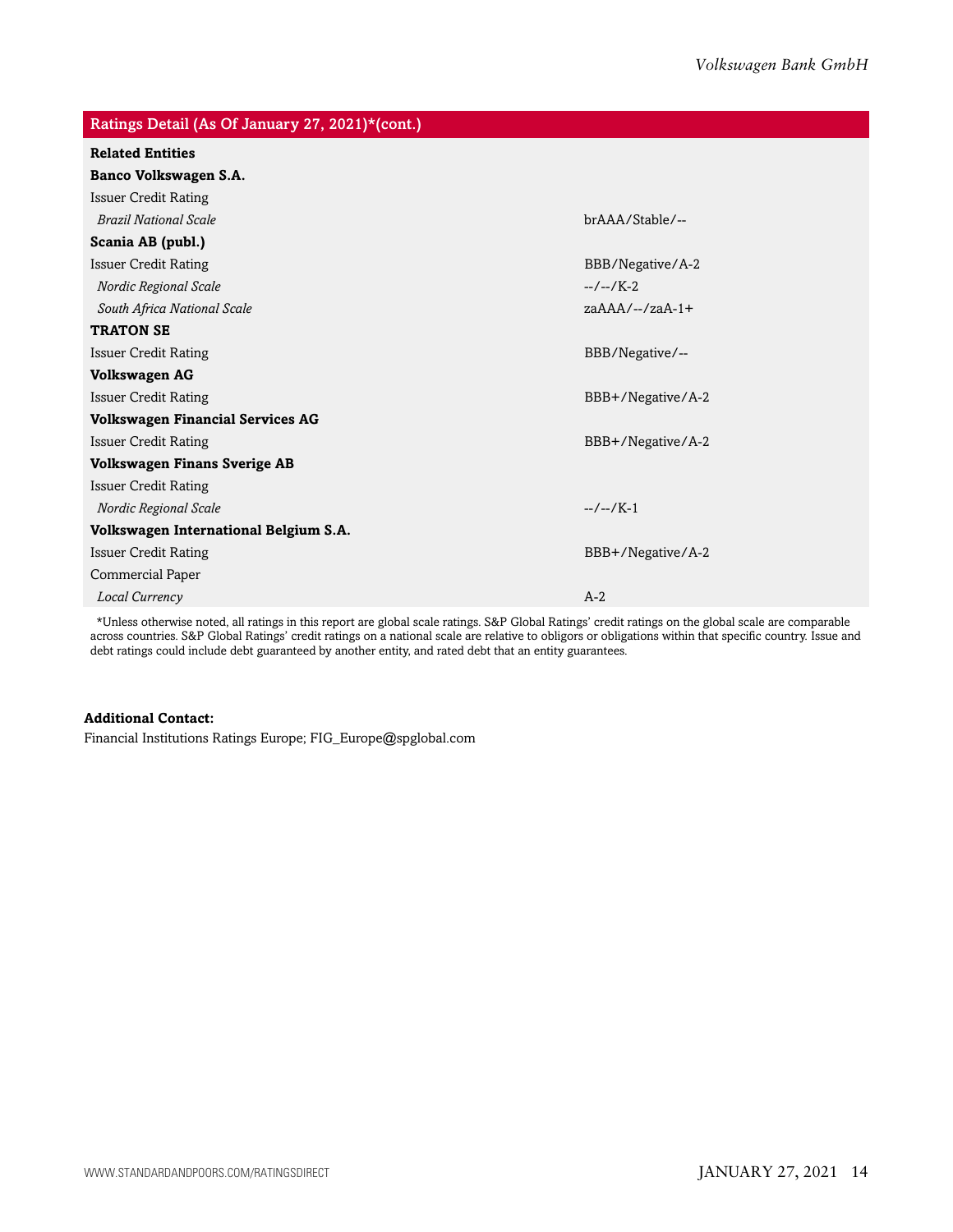| Ratings Detail (As Of January 27, 2021)*(cont.) |                   |  |  |  |  |  |
|-------------------------------------------------|-------------------|--|--|--|--|--|
| <b>Related Entities</b>                         |                   |  |  |  |  |  |
| Banco Volkswagen S.A.                           |                   |  |  |  |  |  |
| <b>Issuer Credit Rating</b>                     |                   |  |  |  |  |  |
| <b>Brazil National Scale</b>                    | brAAA/Stable/--   |  |  |  |  |  |
| Scania AB (publ.)                               |                   |  |  |  |  |  |
| <b>Issuer Credit Rating</b>                     | BBB/Negative/A-2  |  |  |  |  |  |
| Nordic Regional Scale                           | $-/-1K-2$         |  |  |  |  |  |
| South Africa National Scale                     | $zaAAA/--/zaA-1+$ |  |  |  |  |  |
| <b>TRATON SE</b>                                |                   |  |  |  |  |  |
| <b>Issuer Credit Rating</b>                     | BBB/Negative/--   |  |  |  |  |  |
| <b>Volkswagen AG</b>                            |                   |  |  |  |  |  |
| <b>Issuer Credit Rating</b>                     | BBB+/Negative/A-2 |  |  |  |  |  |
| <b>Volkswagen Financial Services AG</b>         |                   |  |  |  |  |  |
| <b>Issuer Credit Rating</b>                     | BBB+/Negative/A-2 |  |  |  |  |  |
| Volkswagen Finans Sverige AB                    |                   |  |  |  |  |  |
| <b>Issuer Credit Rating</b>                     |                   |  |  |  |  |  |
| Nordic Regional Scale                           | $-/-/K-1$         |  |  |  |  |  |
| Volkswagen International Belgium S.A.           |                   |  |  |  |  |  |
| <b>Issuer Credit Rating</b>                     | BBB+/Negative/A-2 |  |  |  |  |  |
| Commercial Paper                                |                   |  |  |  |  |  |
| Local Currency                                  | $A-2$             |  |  |  |  |  |

\*Unless otherwise noted, all ratings in this report are global scale ratings. S&P Global Ratings' credit ratings on the global scale are comparable across countries. S&P Global Ratings' credit ratings on a national scale are relative to obligors or obligations within that specific country. Issue and debt ratings could include debt guaranteed by another entity, and rated debt that an entity guarantees.

## **Additional Contact:**

Financial Institutions Ratings Europe; FIG\_Europe@spglobal.com